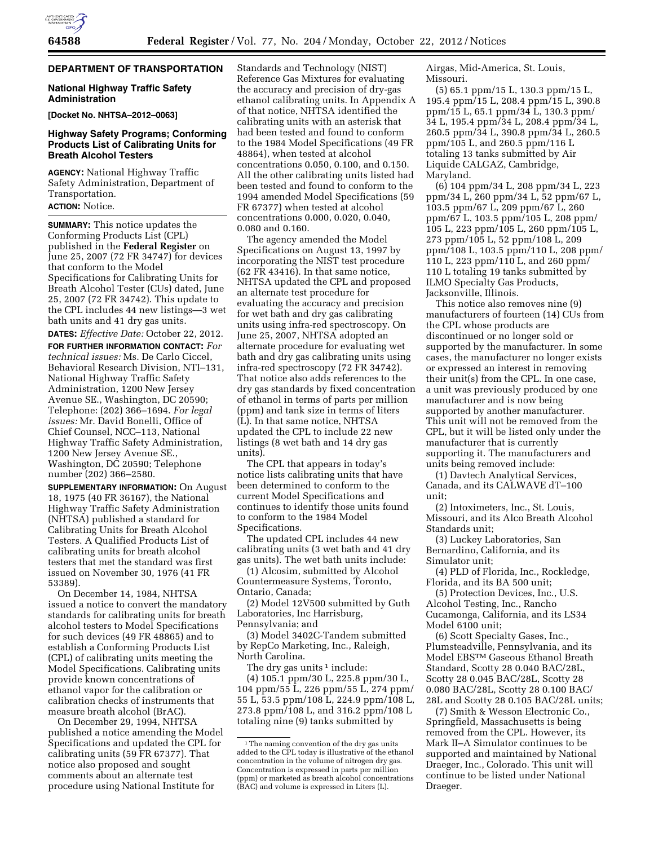# **DEPARTMENT OF TRANSPORTATION**

### **National Highway Traffic Safety Administration**

**[Docket No. NHTSA–2012–0063]** 

## **Highway Safety Programs; Conforming Products List of Calibrating Units for Breath Alcohol Testers**

**AGENCY:** National Highway Traffic Safety Administration, Department of Transportation.

### **ACTION:** Notice.

**SUMMARY:** This notice updates the Conforming Products List (CPL) published in the **Federal Register** on June 25, 2007 (72 FR 34747) for devices that conform to the Model Specifications for Calibrating Units for Breath Alcohol Tester (CUs) dated, June 25, 2007 (72 FR 34742). This update to the CPL includes 44 new listings—3 wet bath units and 41 dry gas units.

**DATES:** *Effective Date:* October 22, 2012. **FOR FURTHER INFORMATION CONTACT:** *For technical issues:* Ms. De Carlo Ciccel, Behavioral Research Division, NTI–131, National Highway Traffic Safety Administration, 1200 New Jersey Avenue SE., Washington, DC 20590; Telephone: (202) 366–1694. *For legal issues:* Mr. David Bonelli, Office of Chief Counsel, NCC–113, National Highway Traffic Safety Administration, 1200 New Jersey Avenue SE., Washington, DC 20590; Telephone number (202) 366–2580.

**SUPPLEMENTARY INFORMATION:** On August 18, 1975 (40 FR 36167), the National Highway Traffic Safety Administration (NHTSA) published a standard for Calibrating Units for Breath Alcohol Testers. A Qualified Products List of calibrating units for breath alcohol testers that met the standard was first issued on November 30, 1976 (41 FR 53389).

On December 14, 1984, NHTSA issued a notice to convert the mandatory standards for calibrating units for breath alcohol testers to Model Specifications for such devices (49 FR 48865) and to establish a Conforming Products List (CPL) of calibrating units meeting the Model Specifications. Calibrating units provide known concentrations of ethanol vapor for the calibration or calibration checks of instruments that measure breath alcohol (BrAC).

On December 29, 1994, NHTSA published a notice amending the Model Specifications and updated the CPL for calibrating units (59 FR 67377). That notice also proposed and sought comments about an alternate test procedure using National Institute for

Standards and Technology (NIST) Reference Gas Mixtures for evaluating the accuracy and precision of dry-gas ethanol calibrating units. In Appendix A of that notice, NHTSA identified the calibrating units with an asterisk that had been tested and found to conform to the 1984 Model Specifications (49 FR 48864), when tested at alcohol concentrations 0.050, 0.100, and 0.150. All the other calibrating units listed had been tested and found to conform to the 1994 amended Model Specifications (59 FR 67377) when tested at alcohol concentrations 0.000, 0.020, 0.040, 0.080 and 0.160.

The agency amended the Model Specifications on August 13, 1997 by incorporating the NIST test procedure (62 FR 43416). In that same notice, NHTSA updated the CPL and proposed an alternate test procedure for evaluating the accuracy and precision for wet bath and dry gas calibrating units using infra-red spectroscopy. On June 25, 2007, NHTSA adopted an alternate procedure for evaluating wet bath and dry gas calibrating units using infra-red spectroscopy (72 FR 34742). That notice also adds references to the dry gas standards by fixed concentration of ethanol in terms of parts per million (ppm) and tank size in terms of liters (L). In that same notice, NHTSA updated the CPL to include 22 new listings (8 wet bath and 14 dry gas units).

The CPL that appears in today's notice lists calibrating units that have been determined to conform to the current Model Specifications and continues to identify those units found to conform to the 1984 Model Specifications.

The updated CPL includes 44 new calibrating units (3 wet bath and 41 dry gas units). The wet bath units include:

(1) Alcosim, submitted by Alcohol Countermeasure Systems, Toronto, Ontario, Canada;

(2) Model 12V500 submitted by Guth Laboratories, Inc Harrisburg, Pennsylvania; and

(3) Model 3402C-Tandem submitted by RepCo Marketing, Inc., Raleigh, North Carolina.

The dry gas units  $1$  include:

(4) 105.1 ppm/30 L, 225.8 ppm/30 L, 104 ppm/55 L, 226 ppm/55 L, 274 ppm/ 55 L, 53.5 ppm/108 L, 224.9 ppm/108 L, 273.8 ppm/108 L, and 316.2 ppm/108 L totaling nine (9) tanks submitted by

Airgas, Mid-America, St. Louis, Missouri.

(5) 65.1 ppm/15 L, 130.3 ppm/15 L, 195.4 ppm/15 L, 208.4 ppm/15 L, 390.8 ppm/15 L, 65.1 ppm/34 L, 130.3 ppm/ 34 L, 195.4 ppm/34 L, 208.4 ppm/34 L, 260.5 ppm/34 L, 390.8 ppm/34 L, 260.5 ppm/105 L, and 260.5 ppm/116 L totaling 13 tanks submitted by Air Liquide CALGAZ, Cambridge, Maryland.

(6) 104 ppm/34 L, 208 ppm/34 L, 223 ppm/34 L, 260 ppm/34 L, 52 ppm/67 L, 103.5 ppm/67 L, 209 ppm/67 L, 260 ppm/67 L, 103.5 ppm/105 L, 208 ppm/ 105 L, 223 ppm/105 L, 260 ppm/105 L, 273 ppm/105 L, 52 ppm/108 L, 209 ppm/108 L, 103.5 ppm/110 L, 208 ppm/ 110 L, 223 ppm/110 L, and 260 ppm/ 110 L totaling 19 tanks submitted by ILMO Specialty Gas Products, Jacksonville, Illinois.

This notice also removes nine (9) manufacturers of fourteen (14) CUs from the CPL whose products are discontinued or no longer sold or supported by the manufacturer. In some cases, the manufacturer no longer exists or expressed an interest in removing their unit(s) from the CPL. In one case, a unit was previously produced by one manufacturer and is now being supported by another manufacturer. This unit will not be removed from the CPL, but it will be listed only under the manufacturer that is currently supporting it. The manufacturers and units being removed include:

(1) Davtech Analytical Services, Canada, and its CALWAVE dT–100 unit;

(2) Intoximeters, Inc., St. Louis, Missouri, and its Alco Breath Alcohol Standards unit;

(3) Luckey Laboratories, San Bernardino, California, and its Simulator unit;

(4) PLD of Florida, Inc., Rockledge, Florida, and its BA 500 unit;

(5) Protection Devices, Inc., U.S. Alcohol Testing, Inc., Rancho Cucamonga, California, and its LS34 Model 6100 unit;

(6) Scott Specialty Gases, Inc., Plumsteadville, Pennsylvania, and its Model EBSTM Gaseous Ethanol Breath Standard, Scotty 28 0.040 BAC/28L, Scotty 28 0.045 BAC/28L, Scotty 28 0.080 BAC/28L, Scotty 28 0.100 BAC/ 28L and Scotty 28 0.105 BAC/28L units;

(7) Smith & Wesson Electronic Co., Springfield, Massachusetts is being removed from the CPL. However, its Mark II–A Simulator continues to be supported and maintained by National Draeger, Inc., Colorado. This unit will continue to be listed under National Draeger.

<sup>&</sup>lt;sup>1</sup>The naming convention of the dry gas units added to the CPL today is illustrative of the ethanol concentration in the volume of nitrogen dry gas. Concentration is expressed in parts per million (ppm) or marketed as breath alcohol concentrations (BAC) and volume is expressed in Liters (L).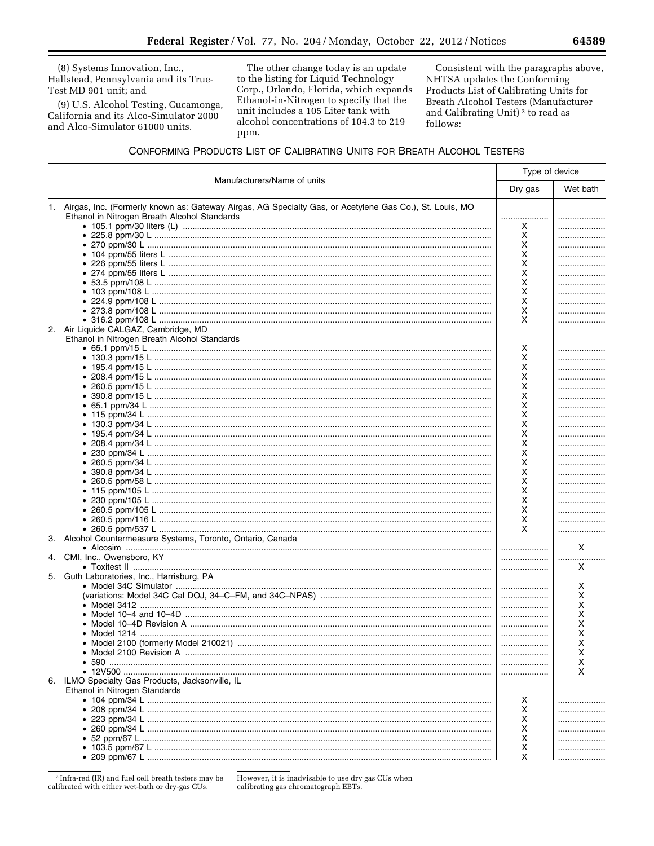(8) Systems Innovation, Inc., Hallstead, Pennsylvania and its True-Test MD 901 unit; and

(9) U.S. Alcohol Testing, Cucamonga, California and its Alco-Simulator 2000 and Alco-Simulator 61000 units.

The other change today is an update to the listing for Liquid Technology Corp., Orlando, Florida, which expands Ethanol-in-Nitrogen to specify that the unit includes a 105 Liter tank with alcohol concentrations of 104.3 to 219 ppm.

Consistent with the paragraphs above, NHTSA updates the Conforming Products List of Calibrating Units for Breath Alcohol Testers (Manufacturer and Calibrating Unit)<sup>2</sup> to read as follows:

# CONFORMING PRODUCTS LIST OF CALIBRATING UNITS FOR BREATH ALCOHOL TESTERS

|                             |                                                                                                            |          | Type of device |  |
|-----------------------------|------------------------------------------------------------------------------------------------------------|----------|----------------|--|
| Manufacturers/Name of units | Dry gas                                                                                                    | Wet bath |                |  |
|                             | 1. Airgas, Inc. (Formerly known as: Gateway Airgas, AG Specialty Gas, or Acetylene Gas Co.), St. Louis, MO |          |                |  |
|                             | Ethanol in Nitrogen Breath Alcohol Standards                                                               |          |                |  |
|                             |                                                                                                            | x        |                |  |
|                             |                                                                                                            | х        |                |  |
|                             |                                                                                                            | х        |                |  |
|                             |                                                                                                            | X        |                |  |
|                             |                                                                                                            | х        |                |  |
|                             |                                                                                                            | х        |                |  |
|                             |                                                                                                            | х        |                |  |
|                             |                                                                                                            | х        |                |  |
|                             |                                                                                                            | х        |                |  |
|                             |                                                                                                            | х        |                |  |
|                             |                                                                                                            | X        |                |  |
|                             | 2. Air Liquide CALGAZ, Cambridge, MD                                                                       |          |                |  |
|                             | Ethanol in Nitrogen Breath Alcohol Standards                                                               |          |                |  |
|                             |                                                                                                            | х        |                |  |
|                             |                                                                                                            | х        |                |  |
|                             |                                                                                                            | х        |                |  |
|                             |                                                                                                            | х        |                |  |
|                             |                                                                                                            | х        |                |  |
|                             |                                                                                                            | х        |                |  |
|                             |                                                                                                            | х        |                |  |
|                             |                                                                                                            | х        |                |  |
|                             |                                                                                                            | x        |                |  |
|                             |                                                                                                            | х        |                |  |
|                             |                                                                                                            | х        |                |  |
|                             |                                                                                                            | X        |                |  |
|                             |                                                                                                            | X        |                |  |
|                             |                                                                                                            | х        |                |  |
|                             |                                                                                                            | х        |                |  |
|                             |                                                                                                            | х        |                |  |
|                             |                                                                                                            | х        |                |  |
|                             |                                                                                                            | х        |                |  |
|                             |                                                                                                            | х        |                |  |
|                             |                                                                                                            | X        |                |  |
| 3.                          | Alcohol Countermeasure Systems, Toronto, Ontario, Canada                                                   |          |                |  |
|                             |                                                                                                            |          | Χ              |  |
|                             | 4. CMI, Inc., Owensboro, KY                                                                                |          |                |  |
|                             |                                                                                                            |          | x              |  |
|                             | 5. Guth Laboratories, Inc., Harrisburg, PA                                                                 |          |                |  |
|                             |                                                                                                            | .        | х              |  |
|                             |                                                                                                            | .        | х              |  |
|                             |                                                                                                            | .        | x              |  |
|                             |                                                                                                            |          | х              |  |
|                             |                                                                                                            |          | х              |  |
|                             |                                                                                                            |          | х              |  |
|                             | ● Model 2100 (formerly Model 210021) …………………………………………………………………………………………                                    |          | х              |  |
|                             |                                                                                                            |          | х              |  |
|                             |                                                                                                            |          | x              |  |
|                             |                                                                                                            |          | x              |  |
|                             |                                                                                                            |          |                |  |
|                             | 6. ILMO Specialty Gas Products, Jacksonville, IL                                                           |          |                |  |
|                             | Ethanol in Nitrogen Standards                                                                              |          |                |  |
|                             |                                                                                                            | х        |                |  |
|                             |                                                                                                            | х        |                |  |
|                             |                                                                                                            | х        |                |  |
|                             |                                                                                                            | X        |                |  |
|                             |                                                                                                            | х        |                |  |
|                             |                                                                                                            | X        |                |  |
|                             |                                                                                                            | X        |                |  |

<sup>2</sup> Infra-red (IR) and fuel cell breath testers may be calibrated with either wet-bath or dry-gas CUs.

However, it is inadvisable to use dry gas CUs when calibrating gas chromatograph EBTs.